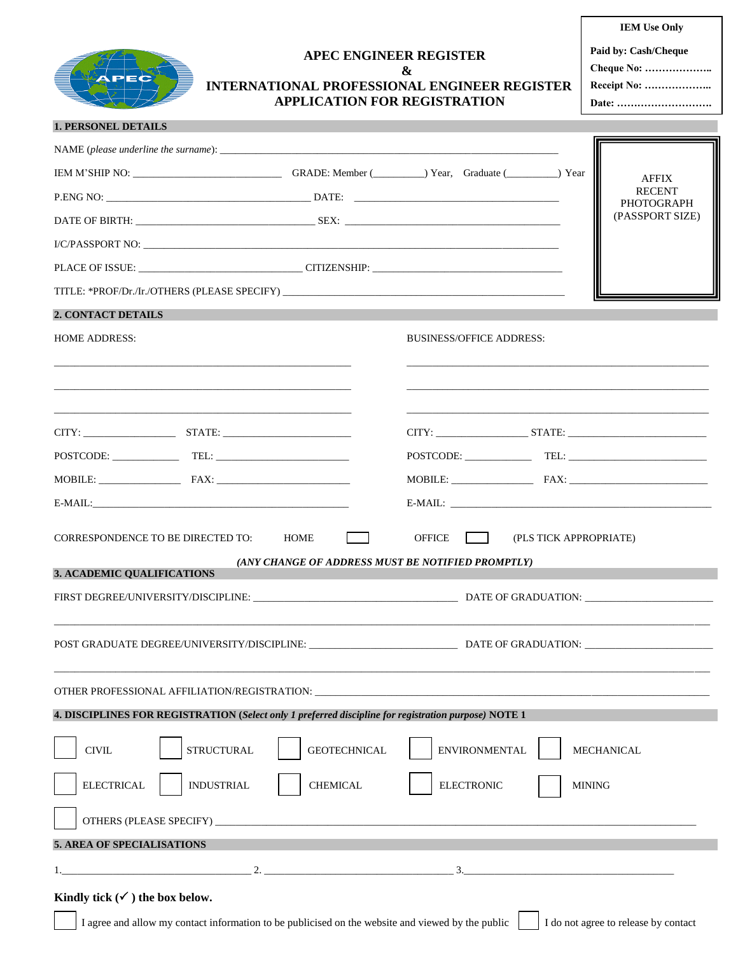

## **APEC ENGINEER REGISTER & INTERNATIONAL PROFESSIONAL ENGINEER REGISTER APPLICATION FOR REGISTRATION**

**Paid by: Cash/Cheque**

**Cheque No: ……………….. Receipt No: ………………..**

**Date: ……………………….**

| <b>1. PERSONEL DETAILS</b> |  |
|----------------------------|--|
|----------------------------|--|

| NAME (please underline the surname): $\frac{1}{2}$ $\frac{1}{2}$ $\frac{1}{2}$ $\frac{1}{2}$ $\frac{1}{2}$ $\frac{1}{2}$ $\frac{1}{2}$ $\frac{1}{2}$ $\frac{1}{2}$ $\frac{1}{2}$ $\frac{1}{2}$ $\frac{1}{2}$ $\frac{1}{2}$ $\frac{1}{2}$ $\frac{1}{2}$ $\frac{1}{2}$ $\frac{1}{2}$ $\frac{1}{2}$ $\frac{$ |                                                           |                                 |                                                                                                                                                                                                                                                                                                                                                                                                                                                                                                          |                                    |
|-----------------------------------------------------------------------------------------------------------------------------------------------------------------------------------------------------------------------------------------------------------------------------------------------------------|-----------------------------------------------------------|---------------------------------|----------------------------------------------------------------------------------------------------------------------------------------------------------------------------------------------------------------------------------------------------------------------------------------------------------------------------------------------------------------------------------------------------------------------------------------------------------------------------------------------------------|------------------------------------|
|                                                                                                                                                                                                                                                                                                           |                                                           |                                 |                                                                                                                                                                                                                                                                                                                                                                                                                                                                                                          | <b>AFFIX</b>                       |
|                                                                                                                                                                                                                                                                                                           |                                                           |                                 |                                                                                                                                                                                                                                                                                                                                                                                                                                                                                                          | <b>RECENT</b><br><b>PHOTOGRAPH</b> |
|                                                                                                                                                                                                                                                                                                           |                                                           |                                 |                                                                                                                                                                                                                                                                                                                                                                                                                                                                                                          | (PASSPORT SIZE)                    |
|                                                                                                                                                                                                                                                                                                           |                                                           |                                 |                                                                                                                                                                                                                                                                                                                                                                                                                                                                                                          |                                    |
|                                                                                                                                                                                                                                                                                                           |                                                           |                                 |                                                                                                                                                                                                                                                                                                                                                                                                                                                                                                          |                                    |
| TITLE: *PROF/Dr./Ir./OTHERS (PLEASE SPECIFY)                                                                                                                                                                                                                                                              |                                                           |                                 |                                                                                                                                                                                                                                                                                                                                                                                                                                                                                                          |                                    |
| <b>2. CONTACT DETAILS</b>                                                                                                                                                                                                                                                                                 |                                                           |                                 |                                                                                                                                                                                                                                                                                                                                                                                                                                                                                                          |                                    |
| <b>HOME ADDRESS:</b>                                                                                                                                                                                                                                                                                      |                                                           | <b>BUSINESS/OFFICE ADDRESS:</b> |                                                                                                                                                                                                                                                                                                                                                                                                                                                                                                          |                                    |
|                                                                                                                                                                                                                                                                                                           |                                                           |                                 |                                                                                                                                                                                                                                                                                                                                                                                                                                                                                                          |                                    |
|                                                                                                                                                                                                                                                                                                           |                                                           |                                 |                                                                                                                                                                                                                                                                                                                                                                                                                                                                                                          |                                    |
|                                                                                                                                                                                                                                                                                                           |                                                           |                                 |                                                                                                                                                                                                                                                                                                                                                                                                                                                                                                          |                                    |
|                                                                                                                                                                                                                                                                                                           |                                                           |                                 | $\text{POSTCODE:} \begin{tabular}{c} \multicolumn{2}{c} {\textbf{C1}} \end{tabular} \begin{tabular}{c} \multicolumn{2}{c} {\textbf{C2}} \end{tabular} \begin{tabular}{c} \multicolumn{2}{c} {\textbf{C3}} \end{tabular} \begin{tabular}{c} \multicolumn{2}{c} {\textbf{C4}} \end{tabular} \begin{tabular}{c} \multicolumn{2}{c} {\textbf{C4}} \end{tabular} \begin{tabular}{c} \multicolumn{2}{c} {\textbf{C4}} \end{tabular} \begin{tabular}{c} \multicolumn{2}{c} {\textbf{C4}} \end{tabular} \begin{$ |                                    |
|                                                                                                                                                                                                                                                                                                           |                                                           |                                 |                                                                                                                                                                                                                                                                                                                                                                                                                                                                                                          |                                    |
|                                                                                                                                                                                                                                                                                                           |                                                           |                                 |                                                                                                                                                                                                                                                                                                                                                                                                                                                                                                          |                                    |
| CORRESPONDENCE TO BE DIRECTED TO:<br>3. ACADEMIC QUALIFICATIONS                                                                                                                                                                                                                                           | HOME<br>(ANY CHANGE OF ADDRESS MUST BE NOTIFIED PROMPTLY) | <b>OFFICE</b>                   | (PLS TICK APPROPRIATE)                                                                                                                                                                                                                                                                                                                                                                                                                                                                                   |                                    |
|                                                                                                                                                                                                                                                                                                           |                                                           |                                 |                                                                                                                                                                                                                                                                                                                                                                                                                                                                                                          |                                    |
|                                                                                                                                                                                                                                                                                                           |                                                           |                                 |                                                                                                                                                                                                                                                                                                                                                                                                                                                                                                          |                                    |
| OTHER PROFESSIONAL AFFILIATION/REGISTRATION: ___________________________________<br>4. DISCIPLINES FOR REGISTRATION (Select only 1 preferred discipline for registration purpose) NOTE 1                                                                                                                  |                                                           |                                 |                                                                                                                                                                                                                                                                                                                                                                                                                                                                                                          |                                    |
|                                                                                                                                                                                                                                                                                                           |                                                           |                                 |                                                                                                                                                                                                                                                                                                                                                                                                                                                                                                          |                                    |
| <b>STRUCTURAL</b><br><b>CIVIL</b>                                                                                                                                                                                                                                                                         | <b>GEOTECHNICAL</b>                                       | <b>ENVIRONMENTAL</b>            | MECHANICAL                                                                                                                                                                                                                                                                                                                                                                                                                                                                                               |                                    |
| <b>ELECTRICAL</b><br><b>INDUSTRIAL</b>                                                                                                                                                                                                                                                                    | <b>CHEMICAL</b>                                           | <b>ELECTRONIC</b>               | <b>MINING</b>                                                                                                                                                                                                                                                                                                                                                                                                                                                                                            |                                    |
|                                                                                                                                                                                                                                                                                                           |                                                           |                                 |                                                                                                                                                                                                                                                                                                                                                                                                                                                                                                          |                                    |
| 5. AREA OF SPECIALISATIONS                                                                                                                                                                                                                                                                                |                                                           |                                 |                                                                                                                                                                                                                                                                                                                                                                                                                                                                                                          |                                    |
| 1. $-$ 2. $-$ 3.                                                                                                                                                                                                                                                                                          |                                                           |                                 |                                                                                                                                                                                                                                                                                                                                                                                                                                                                                                          |                                    |
| Kindly tick $(\checkmark)$ the box below.                                                                                                                                                                                                                                                                 |                                                           |                                 |                                                                                                                                                                                                                                                                                                                                                                                                                                                                                                          |                                    |

I agree and allow my contact information to be publicised on the website and viewed by the public I do not agree to release by contact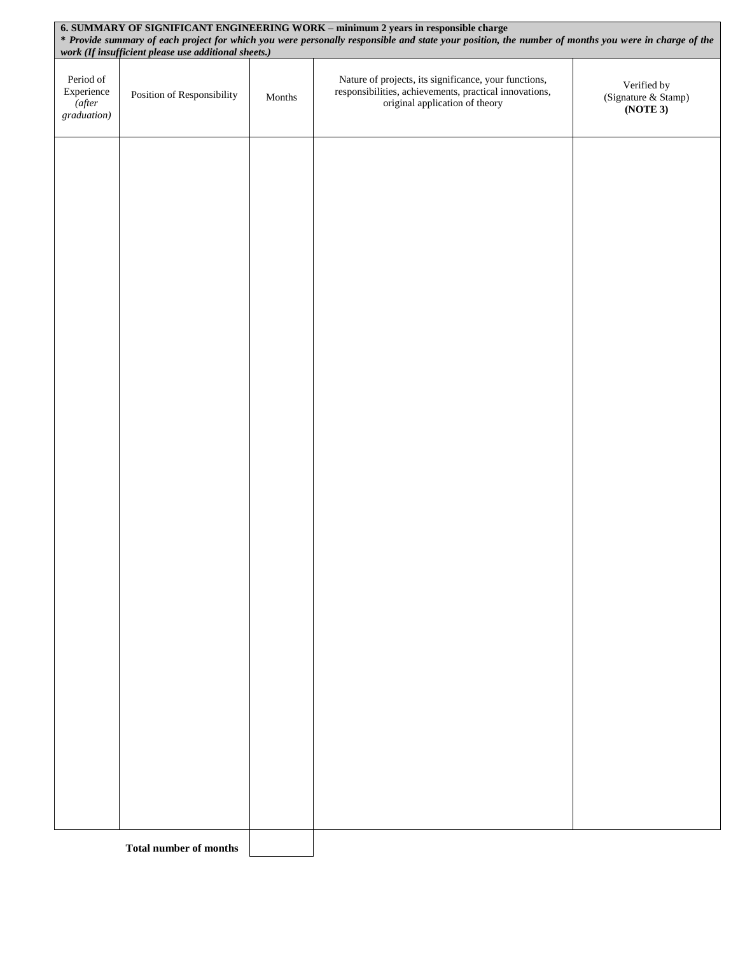|                                                  | 6. SUMMARY OF SIGNIFICANT ENGINEERING WORK - minimum 2 years in responsible charge<br>* Provide summary of each project for which you were personally responsible and state your position, the number of months you were in charge of the<br>work (If insufficient please use additional sheets.) |        |                                                                                                                                                   |                                                |  |
|--------------------------------------------------|---------------------------------------------------------------------------------------------------------------------------------------------------------------------------------------------------------------------------------------------------------------------------------------------------|--------|---------------------------------------------------------------------------------------------------------------------------------------------------|------------------------------------------------|--|
| Period of<br>Experience<br>(after<br>graduation) | Position of Responsibility                                                                                                                                                                                                                                                                        | Months | Nature of projects, its significance, your functions,<br>responsibilities, achievements, practical innovations,<br>original application of theory | Verified by<br>(Signature & Stamp)<br>(NOTE 3) |  |
|                                                  |                                                                                                                                                                                                                                                                                                   |        |                                                                                                                                                   |                                                |  |
|                                                  |                                                                                                                                                                                                                                                                                                   |        |                                                                                                                                                   |                                                |  |
|                                                  |                                                                                                                                                                                                                                                                                                   |        |                                                                                                                                                   |                                                |  |
|                                                  |                                                                                                                                                                                                                                                                                                   |        |                                                                                                                                                   |                                                |  |
|                                                  |                                                                                                                                                                                                                                                                                                   |        |                                                                                                                                                   |                                                |  |
|                                                  |                                                                                                                                                                                                                                                                                                   |        |                                                                                                                                                   |                                                |  |
|                                                  |                                                                                                                                                                                                                                                                                                   |        |                                                                                                                                                   |                                                |  |
|                                                  |                                                                                                                                                                                                                                                                                                   |        |                                                                                                                                                   |                                                |  |
|                                                  |                                                                                                                                                                                                                                                                                                   |        |                                                                                                                                                   |                                                |  |
|                                                  |                                                                                                                                                                                                                                                                                                   |        |                                                                                                                                                   |                                                |  |
|                                                  |                                                                                                                                                                                                                                                                                                   |        |                                                                                                                                                   |                                                |  |
|                                                  | <b>Total number of months</b>                                                                                                                                                                                                                                                                     |        |                                                                                                                                                   |                                                |  |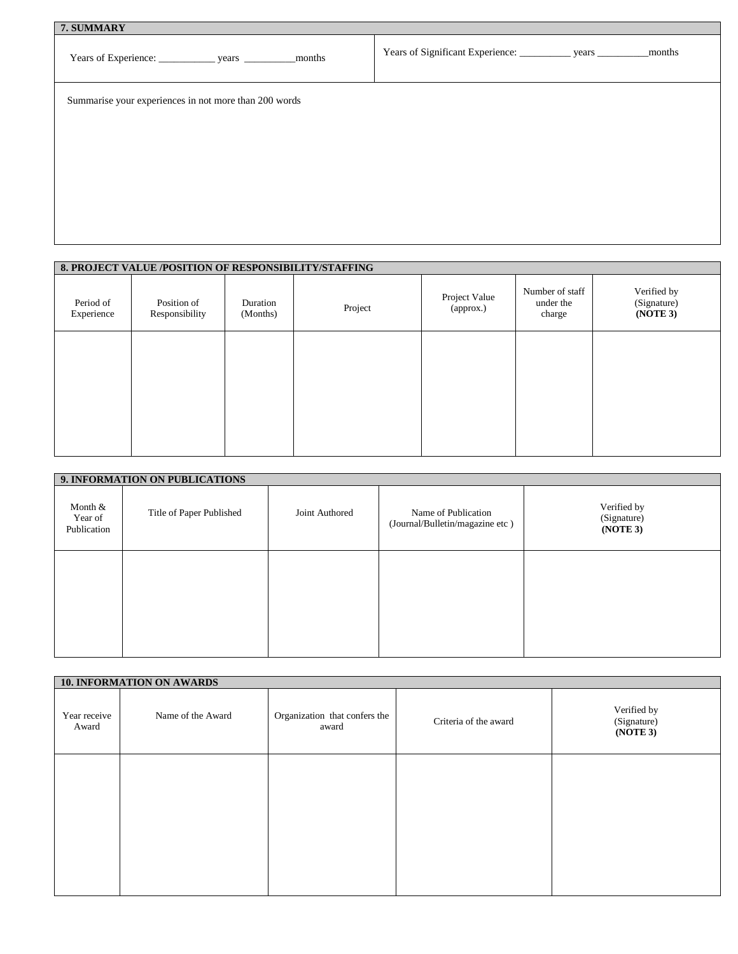| 7. SUMMARY                                            |                                                                        |  |  |  |  |  |
|-------------------------------------------------------|------------------------------------------------------------------------|--|--|--|--|--|
|                                                       | Years of Significant Experience: _____________ years __________ months |  |  |  |  |  |
| Summarise your experiences in not more than 200 words |                                                                        |  |  |  |  |  |
|                                                       |                                                                        |  |  |  |  |  |
|                                                       |                                                                        |  |  |  |  |  |
|                                                       |                                                                        |  |  |  |  |  |
|                                                       |                                                                        |  |  |  |  |  |
|                                                       |                                                                        |  |  |  |  |  |

| 8. PROJECT VALUE /POSITION OF RESPONSIBILITY/STAFFING |                               |                      |         |                            |                                        |                                        |
|-------------------------------------------------------|-------------------------------|----------------------|---------|----------------------------|----------------------------------------|----------------------------------------|
| Period of<br>Experience                               | Position of<br>Responsibility | Duration<br>(Months) | Project | Project Value<br>(approx.) | Number of staff<br>under the<br>charge | Verified by<br>(Signature)<br>(NOTE 3) |
|                                                       |                               |                      |         |                            |                                        |                                        |
|                                                       |                               |                      |         |                            |                                        |                                        |
|                                                       |                               |                      |         |                            |                                        |                                        |

|                                   | 9. INFORMATION ON PUBLICATIONS |                |                                                        |                                        |  |  |  |  |
|-----------------------------------|--------------------------------|----------------|--------------------------------------------------------|----------------------------------------|--|--|--|--|
| Month &<br>Year of<br>Publication | Title of Paper Published       | Joint Authored | Name of Publication<br>(Journal/Bulletin/magazine etc) | Verified by<br>(Signature)<br>(NOTE 3) |  |  |  |  |
|                                   |                                |                |                                                        |                                        |  |  |  |  |
|                                   |                                |                |                                                        |                                        |  |  |  |  |

|                       | <b>10. INFORMATION ON AWARDS</b> |                                        |                       |                                        |
|-----------------------|----------------------------------|----------------------------------------|-----------------------|----------------------------------------|
| Year receive<br>Award | Name of the Award                | Organization that confers the<br>award | Criteria of the award | Verified by<br>(Signature)<br>(NOTE 3) |
|                       |                                  |                                        |                       |                                        |
|                       |                                  |                                        |                       |                                        |
|                       |                                  |                                        |                       |                                        |